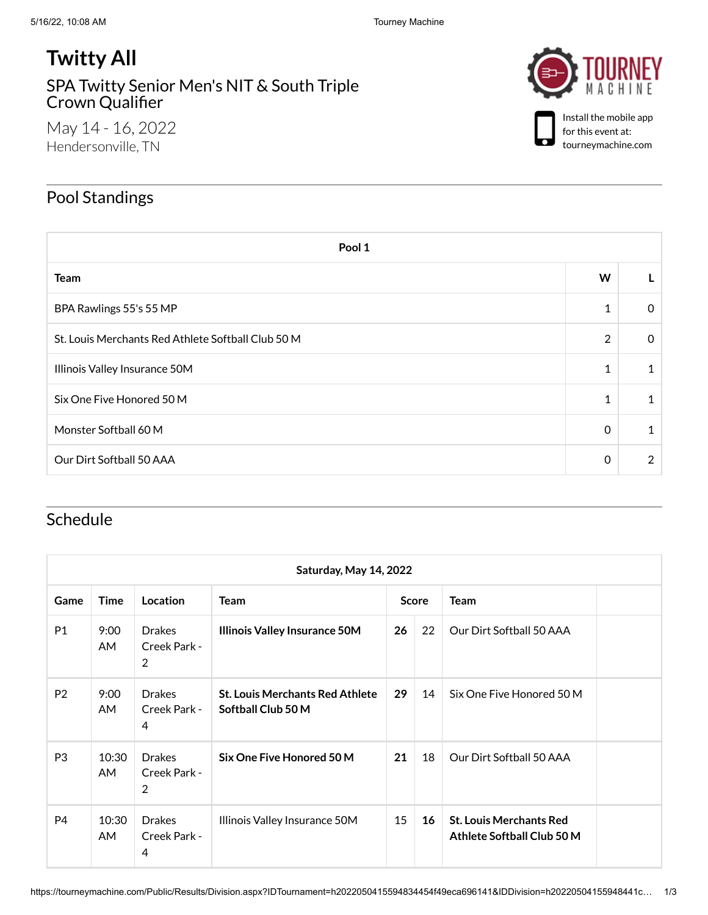## **Twitty All**

SPA Twitty Senior Men's NIT & South Triple Crown [Qualifier](https://tourneymachine.com/Public/Results/Tournament.aspx?IDTournament=h2022050415594834454f49eca696141)

May 14 - 16, 2022 Hendersonville, TN





Install the mobile app for this event at: tourneymachine.com

## Pool Standings

| Pool 1                                             |                |               |  |  |  |  |
|----------------------------------------------------|----------------|---------------|--|--|--|--|
| <b>Team</b>                                        | W              |               |  |  |  |  |
| BPA Rawlings 55's 55 MP                            | 1              | $\Omega$      |  |  |  |  |
| St. Louis Merchants Red Athlete Softball Club 50 M | $\overline{2}$ | $\Omega$      |  |  |  |  |
| Illinois Valley Insurance 50M                      | 1              |               |  |  |  |  |
| Six One Five Honored 50 M                          | 1              |               |  |  |  |  |
| Monster Softball 60 M                              | 0              |               |  |  |  |  |
| Our Dirt Softball 50 AAA                           | 0              | $\mathcal{P}$ |  |  |  |  |

## Schedule

| Saturday, May 14, 2022 |              |                                                 |                                                              |              |    |                                                              |  |  |
|------------------------|--------------|-------------------------------------------------|--------------------------------------------------------------|--------------|----|--------------------------------------------------------------|--|--|
| Game                   | Time         | Location                                        | <b>Team</b>                                                  | <b>Score</b> |    | <b>Team</b>                                                  |  |  |
| P1                     | 9:00<br>AM.  | <b>Drakes</b><br>Creek Park -<br>$\overline{2}$ | <b>Illinois Valley Insurance 50M</b>                         | 26           | 22 | Our Dirt Softball 50 AAA                                     |  |  |
| P <sub>2</sub>         | 9:00<br>AM.  | <b>Drakes</b><br>Creek Park -<br>4              | <b>St. Louis Merchants Red Athlete</b><br>Softball Club 50 M | 29           | 14 | Six One Five Honored 50 M                                    |  |  |
| P <sub>3</sub>         | 10:30<br>AM. | <b>Drakes</b><br>Creek Park -<br>2              | Six One Five Honored 50 M                                    | 21           | 18 | Our Dirt Softball 50 AAA                                     |  |  |
| P <sub>4</sub>         | 10:30<br>AM. | <b>Drakes</b><br>Creek Park -<br>4              | Illinois Valley Insurance 50M                                | 15           | 16 | <b>St. Louis Merchants Red</b><br>Athlete Softball Club 50 M |  |  |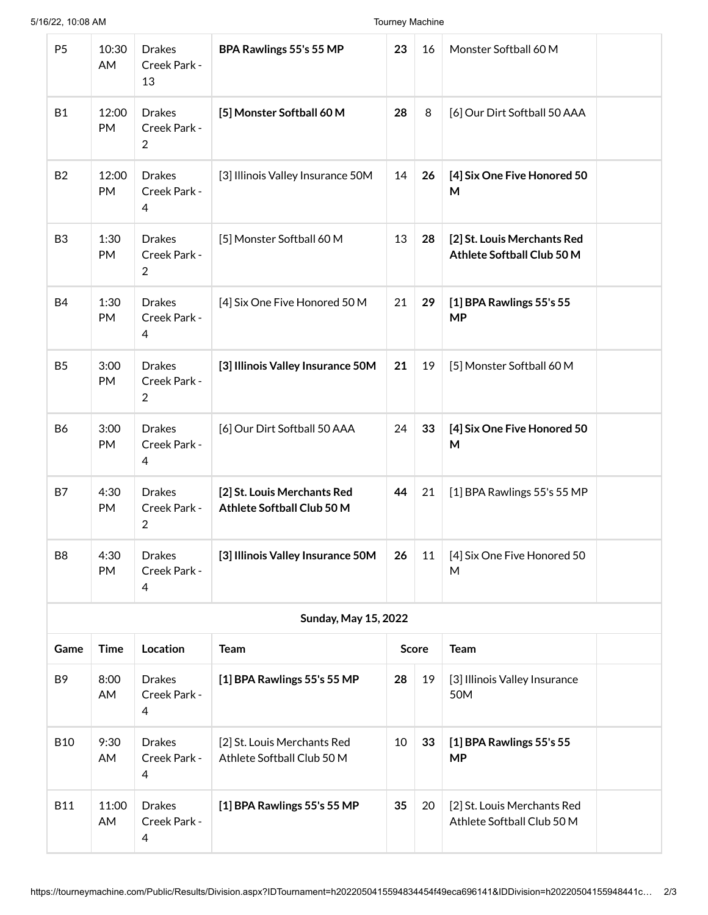| P <sub>5</sub>              | 10:30<br>AM        | <b>Drakes</b><br>Creek Park -<br>13             | BPA Rawlings 55's 55 MP                                   | 23           | 16 | Monster Softball 60 M                                     |  |  |
|-----------------------------|--------------------|-------------------------------------------------|-----------------------------------------------------------|--------------|----|-----------------------------------------------------------|--|--|
| <b>B1</b>                   | 12:00<br>PM        | <b>Drakes</b><br>Creek Park -<br>$\overline{2}$ | [5] Monster Softball 60 M                                 | 28           | 8  | [6] Our Dirt Softball 50 AAA                              |  |  |
| <b>B2</b>                   | 12:00<br><b>PM</b> | <b>Drakes</b><br>Creek Park -<br>4              | [3] Illinois Valley Insurance 50M                         | 14           | 26 | [4] Six One Five Honored 50<br>M                          |  |  |
| B <sub>3</sub>              | 1:30<br>PM         | <b>Drakes</b><br>Creek Park -<br>$\overline{2}$ | [5] Monster Softball 60 M                                 | 13           | 28 | [2] St. Louis Merchants Red<br>Athlete Softball Club 50 M |  |  |
| <b>B4</b>                   | 1:30<br>PM         | <b>Drakes</b><br>Creek Park -<br>$\overline{4}$ | [4] Six One Five Honored 50 M                             | 21           | 29 | [1] BPA Rawlings 55's 55<br><b>MP</b>                     |  |  |
| B <sub>5</sub>              | 3:00<br>PM         | <b>Drakes</b><br>Creek Park -<br>$\overline{2}$ | [3] Illinois Valley Insurance 50M                         | 21           | 19 | [5] Monster Softball 60 M                                 |  |  |
| <b>B6</b>                   | 3:00<br>PM         | <b>Drakes</b><br>Creek Park -<br>4              | [6] Our Dirt Softball 50 AAA                              | 24           | 33 | [4] Six One Five Honored 50<br>M                          |  |  |
| B7                          | 4:30<br>PM         | <b>Drakes</b><br>Creek Park -<br>2              | [2] St. Louis Merchants Red<br>Athlete Softball Club 50 M | 44           | 21 | [1] BPA Rawlings 55's 55 MP                               |  |  |
| B <sub>8</sub>              | 4:30<br>PM         | <b>Drakes</b><br>Creek Park -<br>4              | [3] Illinois Valley Insurance 50M                         | 26           | 11 | [4] Six One Five Honored 50<br>М                          |  |  |
| <b>Sunday, May 15, 2022</b> |                    |                                                 |                                                           |              |    |                                                           |  |  |
| Game                        | <b>Time</b>        | Location                                        | <b>Team</b>                                               | <b>Score</b> |    | <b>Team</b>                                               |  |  |
| B <sub>9</sub>              | 8:00<br>AM         | <b>Drakes</b><br>Creek Park -<br>4              | [1] BPA Rawlings 55's 55 MP                               | 28           | 19 | [3] Illinois Valley Insurance<br>50M                      |  |  |
| <b>B10</b>                  | 9:30<br>AM         | <b>Drakes</b><br>Creek Park -<br>4              | [2] St. Louis Merchants Red<br>Athlete Softball Club 50 M | 10           | 33 | [1] BPA Rawlings 55's 55<br><b>MP</b>                     |  |  |
| <b>B11</b>                  | 11:00<br>AM        | <b>Drakes</b><br>Creek Park -<br>4              | [1] BPA Rawlings 55's 55 MP                               | 35           | 20 | [2] St. Louis Merchants Red<br>Athlete Softball Club 50 M |  |  |